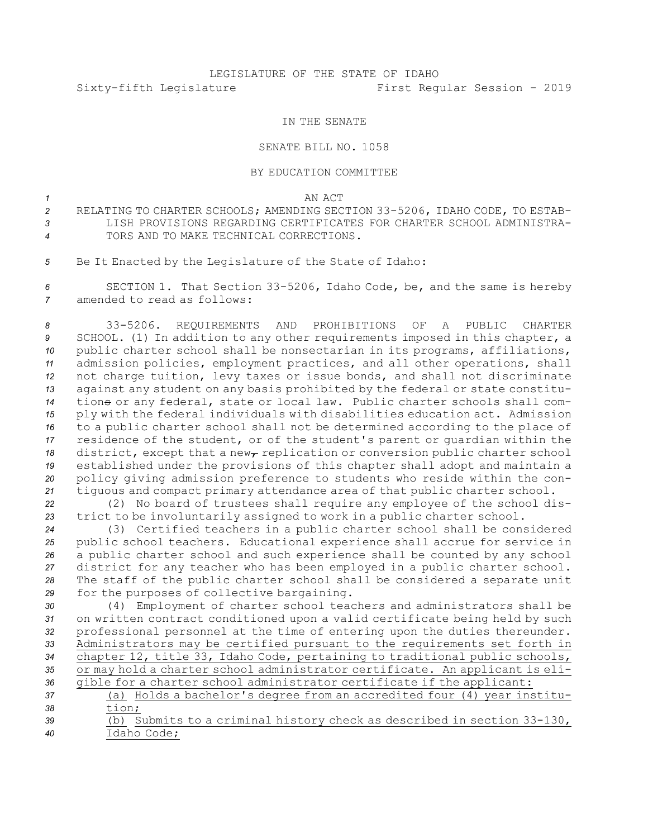## LEGISLATURE OF THE STATE OF IDAHO Sixty-fifth Legislature First Regular Session - 2019

## IN THE SENATE

## SENATE BILL NO. 1058

## BY EDUCATION COMMITTEE

*1* AN ACT

- *<sup>2</sup>* RELATING TO CHARTER SCHOOLS; AMENDING SECTION 33-5206, IDAHO CODE, TO ESTAB-*3* LISH PROVISIONS REGARDING CERTIFICATES FOR CHARTER SCHOOL ADMINISTRA-*4* TORS AND TO MAKE TECHNICAL CORRECTIONS.
- *<sup>5</sup>* Be It Enacted by the Legislature of the State of Idaho:

*<sup>6</sup>* SECTION 1. That Section 33-5206, Idaho Code, be, and the same is hereby *7* amended to read as follows:

 33-5206. REQUIREMENTS AND PROHIBITIONS OF A PUBLIC CHARTER SCHOOL. (1) In addition to any other requirements imposed in this chapter, <sup>a</sup> public charter school shall be nonsectarian in its programs, affiliations, admission policies, employment practices, and all other operations, shall not charge tuition, levy taxes or issue bonds, and shall not discriminate against any student on any basis prohibited by the federal or state constitu- tions or any federal, state or local law. Public charter schools shall com- ply with the federal individuals with disabilities education act. Admission to <sup>a</sup> public charter school shall not be determined according to the place of residence of the student, or of the student's parent or guardian within the 18 district, except that a new<sub>r</sub> replication or conversion public charter school established under the provisions of this chapter shall adopt and maintain <sup>a</sup> policy giving admission preference to students who reside within the con-tiguous and compact primary attendance area of that public charter school.

*<sup>22</sup>* (2) No board of trustees shall require any employee of the school dis-*<sup>23</sup>* trict to be involuntarily assigned to work in <sup>a</sup> public charter school.

 (3) Certified teachers in <sup>a</sup> public charter school shall be considered public school teachers. Educational experience shall accrue for service in <sup>a</sup> public charter school and such experience shall be counted by any school district for any teacher who has been employed in <sup>a</sup> public charter school. The staff of the public charter school shall be considered <sup>a</sup> separate unit for the purposes of collective bargaining.

 (4) Employment of charter school teachers and administrators shall be on written contract conditioned upon <sup>a</sup> valid certificate being held by such professional personnel at the time of entering upon the duties thereunder. Administrators may be certified pursuant to the requirements set forth in chapter 12, title 33, Idaho Code, pertaining to traditional public schools, or may hold <sup>a</sup> charter school administrator certificate. An applicant is eli-gible for <sup>a</sup> charter school administrator certificate if the applicant:

- *<sup>37</sup>* (a) Holds <sup>a</sup> bachelor's degree from an accredited four (4) year institu-*38* tion; *<sup>39</sup>* (b) Submits to <sup>a</sup> criminal history check as described in section 33-130,
- *40* Idaho Code;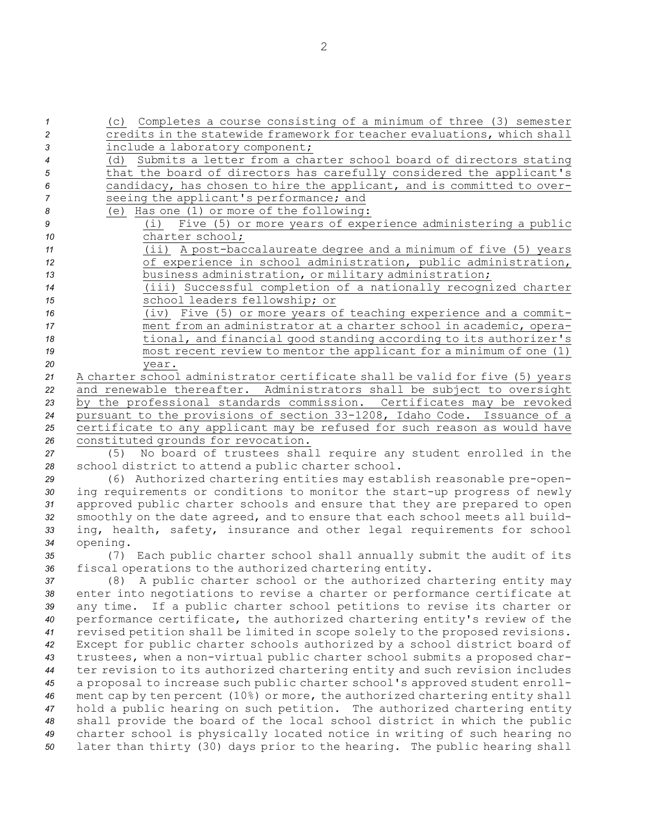(c) Completes <sup>a</sup> course consisting of <sup>a</sup> minimum of three (3) semester credits in the statewide framework for teacher evaluations, which shall include <sup>a</sup> laboratory component; (d) Submits <sup>a</sup> letter from <sup>a</sup> charter school board of directors stating that the board of directors has carefully considered the applicant's candidacy, has chosen to hire the applicant, and is committed to over- seeing the applicant's performance; and (e) Has one (1) or more of the following: (i) Five (5) or more years of experience administering <sup>a</sup> public charter school; (ii) <sup>A</sup> post-baccalaureate degree and <sup>a</sup> minimum of five (5) years of experience in school administration, public administration, business administration, or military administration; (iii) Successful completion of <sup>a</sup> nationally recognized charter school leaders fellowship; or (iv) Five (5) or more years of teaching experience and <sup>a</sup> commit- ment from an administrator at <sup>a</sup> charter school in academic, opera- tional, and financial good standing according to its authorizer's most recent review to mentor the applicant for <sup>a</sup> minimum of one (1) *20* year. <sup>A</sup> charter school administrator certificate shall be valid for five (5) years and renewable thereafter. Administrators shall be subject to oversight by the professional standards commission. Certificates may be revoked pursuant to the provisions of section 33-1208, Idaho Code. Issuance of <sup>a</sup> certificate to any applicant may be refused for such reason as would have constituted grounds for revocation. (5) No board of trustees shall require any student enrolled in the school district to attend <sup>a</sup> public charter school. (6) Authorized chartering entities may establish reasonable pre-open- ing requirements or conditions to monitor the start-up progress of newly approved public charter schools and ensure that they are prepared to open smoothly on the date agreed, and to ensure that each school meets all build- ing, health, safety, insurance and other legal requirements for school *<sup>34</sup>* opening. (7) Each public charter school shall annually submit the audit of its fiscal operations to the authorized chartering entity. (8) <sup>A</sup> public charter school or the authorized chartering entity may enter into negotiations to revise <sup>a</sup> charter or performance certificate at any time. If <sup>a</sup> public charter school petitions to revise its charter or performance certificate, the authorized chartering entity's review of the revised petition shall be limited in scope solely to the proposed revisions. Except for public charter schools authorized by <sup>a</sup> school district board of trustees, when <sup>a</sup> non-virtual public charter school submits <sup>a</sup> proposed char-

 ter revision to its authorized chartering entity and such revision includes <sup>a</sup> proposal to increase such public charter school's approved student enroll- ment cap by ten percent (10%) or more, the authorized chartering entity shall hold <sup>a</sup> public hearing on such petition. The authorized chartering entity shall provide the board of the local school district in which the public charter school is physically located notice in writing of such hearing no later than thirty (30) days prior to the hearing. The public hearing shall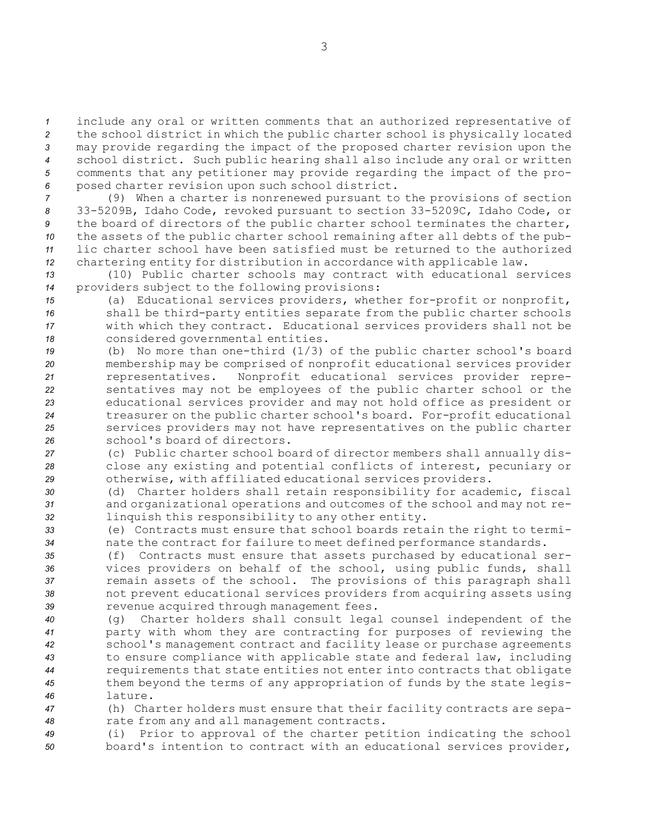include any oral or written comments that an authorized representative of the school district in which the public charter school is physically located may provide regarding the impact of the proposed charter revision upon the school district. Such public hearing shall also include any oral or written comments that any petitioner may provide regarding the impact of the pro-posed charter revision upon such school district.

 (9) When <sup>a</sup> charter is nonrenewed pursuant to the provisions of section 33-5209B, Idaho Code, revoked pursuant to section 33-5209C, Idaho Code, or the board of directors of the public charter school terminates the charter, the assets of the public charter school remaining after all debts of the pub- lic charter school have been satisfied must be returned to the authorized chartering entity for distribution in accordance with applicable law.

*<sup>13</sup>* (10) Public charter schools may contract with educational services *<sup>14</sup>* providers subject to the following provisions:

 (a) Educational services providers, whether for-profit or nonprofit, shall be third-party entities separate from the public charter schools with which they contract. Educational services providers shall not be considered governmental entities.

 (b) No more than one-third (1/3) of the public charter school's board membership may be comprised of nonprofit educational services provider representatives. Nonprofit educational services provider repre- sentatives may not be employees of the public charter school or the educational services provider and may not hold office as president or treasurer on the public charter school's board. For-profit educational services providers may not have representatives on the public charter school's board of directors.

*<sup>27</sup>* (c) Public charter school board of director members shall annually dis-*<sup>28</sup>* close any existing and potential conflicts of interest, pecuniary or *<sup>29</sup>* otherwise, with affiliated educational services providers.

*<sup>30</sup>* (d) Charter holders shall retain responsibility for academic, fiscal *<sup>31</sup>* and organizational operations and outcomes of the school and may not re-*<sup>32</sup>* linquish this responsibility to any other entity.

*<sup>33</sup>* (e) Contracts must ensure that school boards retain the right to termi-*<sup>34</sup>* nate the contract for failure to meet defined performance standards.

 (f) Contracts must ensure that assets purchased by educational ser- vices providers on behalf of the school, using public funds, shall remain assets of the school. The provisions of this paragraph shall not prevent educational services providers from acquiring assets using revenue acquired through management fees.

 (g) Charter holders shall consult legal counsel independent of the party with whom they are contracting for purposes of reviewing the school's management contract and facility lease or purchase agreements to ensure compliance with applicable state and federal law, including requirements that state entities not enter into contracts that obligate them beyond the terms of any appropriation of funds by the state legis-*46* lature.

*<sup>47</sup>* (h) Charter holders must ensure that their facility contracts are sepa-*<sup>48</sup>* rate from any and all management contracts.

*<sup>49</sup>* (i) Prior to approval of the charter petition indicating the school *<sup>50</sup>* board's intention to contract with an educational services provider,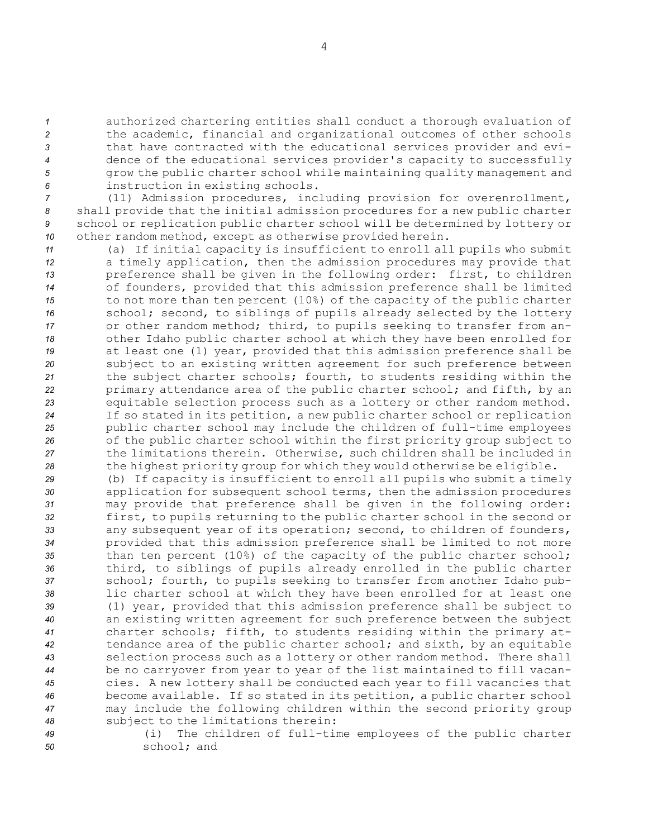authorized chartering entities shall conduct <sup>a</sup> thorough evaluation of the academic, financial and organizational outcomes of other schools that have contracted with the educational services provider and evi- dence of the educational services provider's capacity to successfully grow the public charter school while maintaining quality management and instruction in existing schools. (11) Admission procedures, including provision for overenrollment,

*<sup>8</sup>* shall provide that the initial admission procedures for <sup>a</sup> new public charter *<sup>9</sup>* school or replication public charter school will be determined by lottery or *<sup>10</sup>* other random method, except as otherwise provided herein.

 (a) If initial capacity is insufficient to enroll all pupils who submit <sup>a</sup> timely application, then the admission procedures may provide that preference shall be given in the following order: first, to children of founders, provided that this admission preference shall be limited to not more than ten percent (10%) of the capacity of the public charter school; second, to siblings of pupils already selected by the lottery or other random method; third, to pupils seeking to transfer from an- other Idaho public charter school at which they have been enrolled for at least one (1) year, provided that this admission preference shall be subject to an existing written agreement for such preference between the subject charter schools; fourth, to students residing within the primary attendance area of the public charter school; and fifth, by an equitable selection process such as <sup>a</sup> lottery or other random method. If so stated in its petition, <sup>a</sup> new public charter school or replication public charter school may include the children of full-time employees of the public charter school within the first priority group subject to the limitations therein. Otherwise, such children shall be included in the highest priority group for which they would otherwise be eligible.

 (b) If capacity is insufficient to enroll all pupils who submit <sup>a</sup> timely application for subsequent school terms, then the admission procedures may provide that preference shall be given in the following order: first, to pupils returning to the public charter school in the second or any subsequent year of its operation; second, to children of founders, provided that this admission preference shall be limited to not more than ten percent (10%) of the capacity of the public charter school; third, to siblings of pupils already enrolled in the public charter school; fourth, to pupils seeking to transfer from another Idaho pub- lic charter school at which they have been enrolled for at least one (1) year, provided that this admission preference shall be subject to an existing written agreement for such preference between the subject charter schools; fifth, to students residing within the primary at- tendance area of the public charter school; and sixth, by an equitable selection process such as <sup>a</sup> lottery or other random method. There shall be no carryover from year to year of the list maintained to fill vacan- cies. <sup>A</sup> new lottery shall be conducted each year to fill vacancies that become available. If so stated in its petition, <sup>a</sup> public charter school may include the following children within the second priority group subject to the limitations therein:

*<sup>49</sup>* (i) The children of full-time employees of the public charter *50* school; and